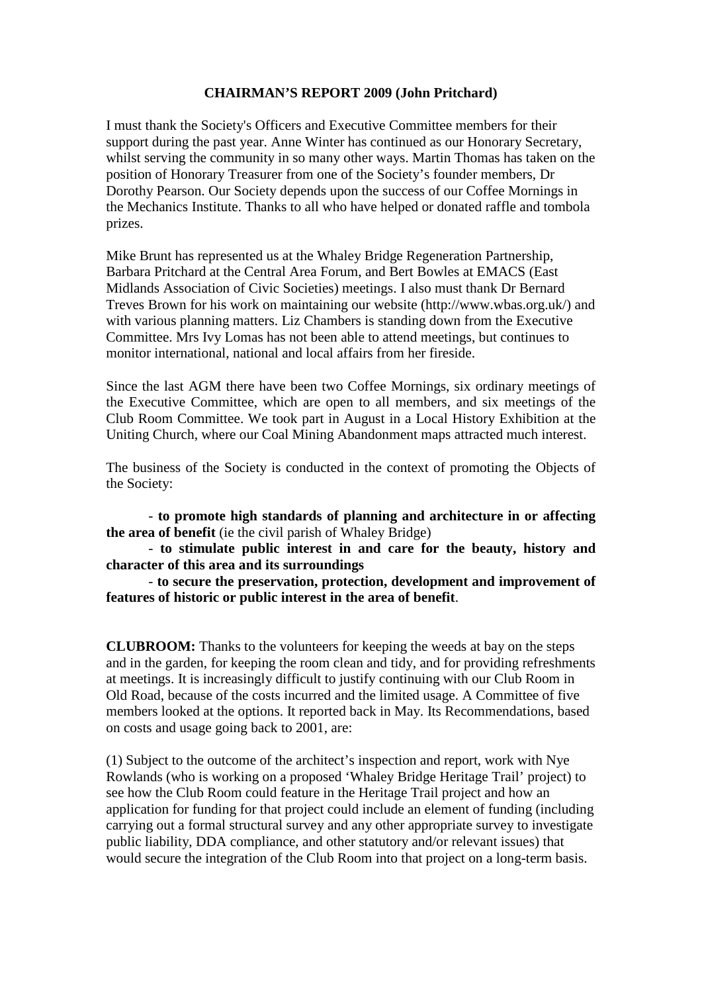## **CHAIRMAN'S REPORT 2009 (John Pritchard)**

I must thank the Society's Officers and Executive Committee members for their support during the past year. Anne Winter has continued as our Honorary Secretary, whilst serving the community in so many other ways. Martin Thomas has taken on the position of Honorary Treasurer from one of the Society's founder members, Dr Dorothy Pearson. Our Society depends upon the success of our Coffee Mornings in the Mechanics Institute. Thanks to all who have helped or donated raffle and tombola prizes.

Mike Brunt has represented us at the Whaley Bridge Regeneration Partnership, Barbara Pritchard at the Central Area Forum, and Bert Bowles at EMACS (East Midlands Association of Civic Societies) meetings. I also must thank Dr Bernard Treves Brown for his work on maintaining our website (http://www.wbas.org.uk/) and with various planning matters. Liz Chambers is standing down from the Executive Committee. Mrs Ivy Lomas has not been able to attend meetings, but continues to monitor international, national and local affairs from her fireside.

Since the last AGM there have been two Coffee Mornings, six ordinary meetings of the Executive Committee, which are open to all members, and six meetings of the Club Room Committee. We took part in August in a Local History Exhibition at the Uniting Church, where our Coal Mining Abandonment maps attracted much interest.

The business of the Society is conducted in the context of promoting the Objects of the Society:

- **to promote high standards of planning and architecture in or affecting the area of benefit** (ie the civil parish of Whaley Bridge)

- **to stimulate public interest in and care for the beauty, history and character of this area and its surroundings**

- **to secure the preservation, protection, development and improvement of features of historic or public interest in the area of benefit**.

**CLUBROOM:** Thanks to the volunteers for keeping the weeds at bay on the steps and in the garden, for keeping the room clean and tidy, and for providing refreshments at meetings. It is increasingly difficult to justify continuing with our Club Room in Old Road, because of the costs incurred and the limited usage. A Committee of five members looked at the options. It reported back in May. Its Recommendations, based on costs and usage going back to 2001, are:

(1) Subject to the outcome of the architect's inspection and report, work with Nye Rowlands (who is working on a proposed 'Whaley Bridge Heritage Trail' project) to see how the Club Room could feature in the Heritage Trail project and how an application for funding for that project could include an element of funding (including carrying out a formal structural survey and any other appropriate survey to investigate public liability, DDA compliance, and other statutory and/or relevant issues) that would secure the integration of the Club Room into that project on a long-term basis.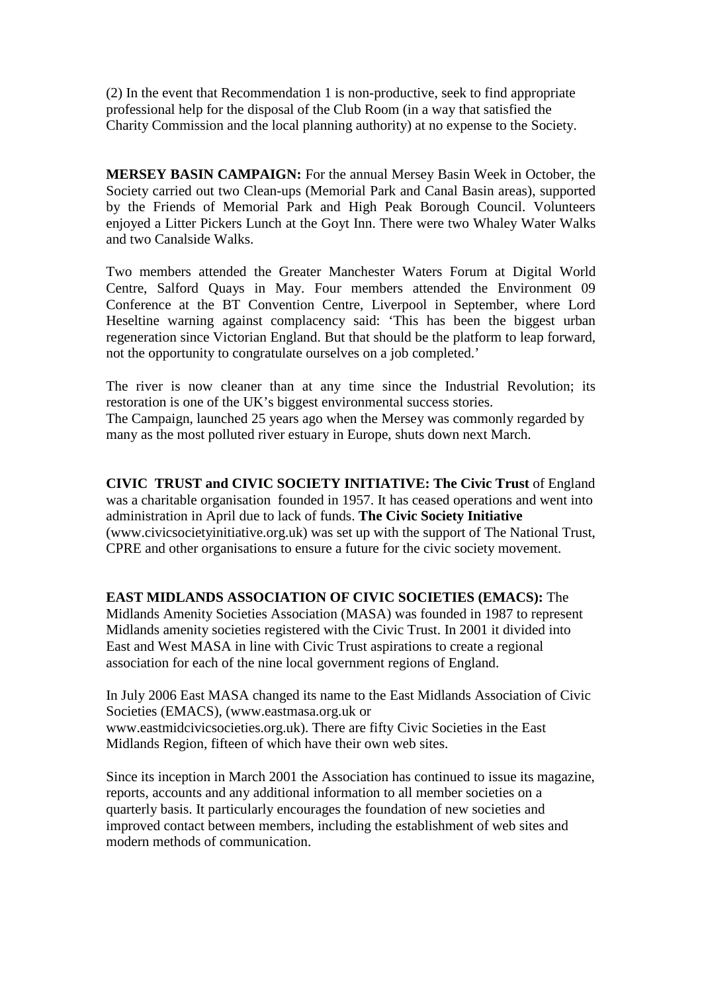(2) In the event that Recommendation 1 is non-productive, seek to find appropriate professional help for the disposal of the Club Room (in a way that satisfied the Charity Commission and the local planning authority) at no expense to the Society.

**MERSEY BASIN CAMPAIGN:** For the annual Mersey Basin Week in October, the Society carried out two Clean-ups (Memorial Park and Canal Basin areas), supported by the Friends of Memorial Park and High Peak Borough Council. Volunteers enjoyed a Litter Pickers Lunch at the Goyt Inn. There were two Whaley Water Walks and two Canalside Walks.

Two members attended the Greater Manchester Waters Forum at Digital World Centre, Salford Quays in May. Four members attended the Environment 09 Conference at the BT Convention Centre, Liverpool in September, where Lord Heseltine warning against complacency said: 'This has been the biggest urban regeneration since Victorian England. But that should be the platform to leap forward, not the opportunity to congratulate ourselves on a job completed.'

The river is now cleaner than at any time since the Industrial Revolution; its restoration is one of the UK's biggest environmental success stories. The Campaign, launched 25 years ago when the Mersey was commonly regarded by many as the most polluted river estuary in Europe, shuts down next March.

**CIVIC TRUST and CIVIC SOCIETY INITIATIVE: The Civic Trust** of England was a charitable organisation founded in 1957. It has ceased operations and went into administration in April due to lack of funds. **The Civic Society Initiative** [\(www.civicsocietyinitiative.org.uk\)](http://www.civicsocietyinitiative.org.uk/) was set up with the support of The National Trust, CPRE and other organisations to ensure a future for the civic society movement.

## **EAST MIDLANDS ASSOCIATION OF CIVIC SOCIETIES (EMACS):** The

Midlands Amenity Societies Association (MASA) was founded in 1987 to represent Midlands amenity societies registered with the Civic Trust. In 2001 it divided into East and West MASA in line with Civic Trust aspirations to create a regional association for each of the nine local government regions of England.

In July 2006 East MASA changed its name to the East Midlands Association of Civic Societies (EMACS), [\(www.eastmasa.org.uk](http://www.eastmasa.org.uk/) or [www.eastmidcivicsocieties.org.uk\)](http://www.eastmidcivicsocieties.org.uk/). There are fifty Civic Societies in the East Midlands Region, fifteen of which have their own web sites.

Since its inception in March 2001 the Association has continued to issue its magazine, reports, accounts and any additional information to all member societies on a quarterly basis. It particularly encourages the foundation of new societies and improved contact between members, including the establishment of web sites and modern methods of communication.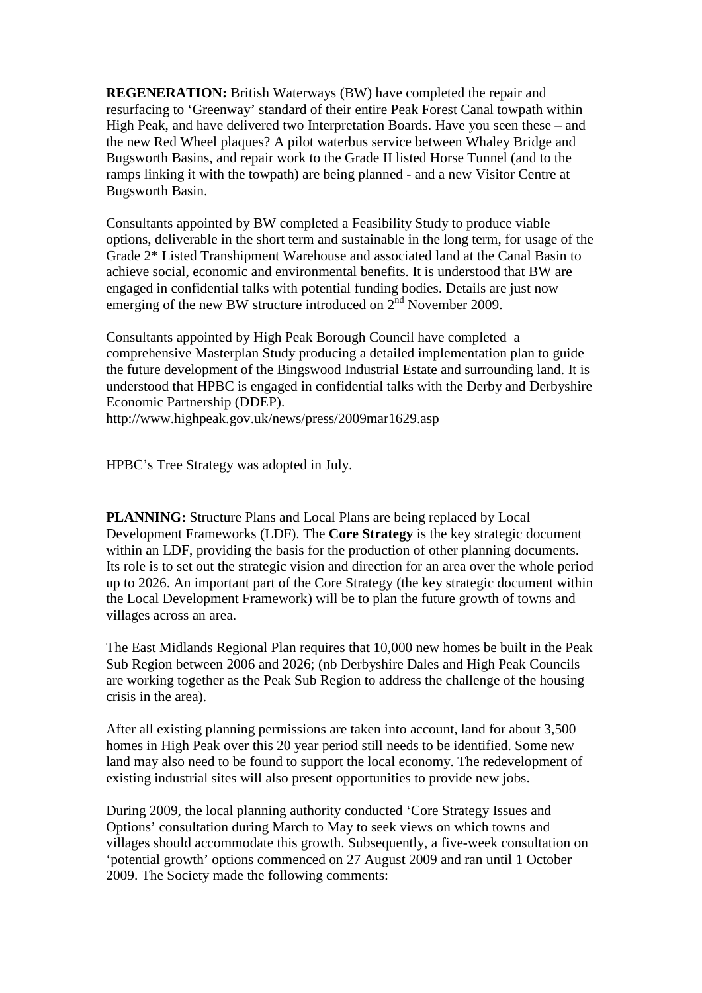**REGENERATION:** British Waterways (BW) have completed the repair and resurfacing to 'Greenway' standard of their entire Peak Forest Canal towpath within High Peak, and have delivered two Interpretation Boards. Have you seen these – and the new Red Wheel plaques? A pilot waterbus service between Whaley Bridge and Bugsworth Basins, and repair work to the Grade II listed Horse Tunnel (and to the ramps linking it with the towpath) are being planned - and a new Visitor Centre at Bugsworth Basin.

Consultants appointed by BW completed a Feasibility Study to produce viable options, deliverable in the short term and sustainable in the long term, for usage of the Grade 2\* Listed Transhipment Warehouse and associated land at the Canal Basin to achieve social, economic and environmental benefits. It is understood that BW are engaged in confidential talks with potential funding bodies. Details are just now emerging of the new BW structure introduced on  $2<sup>nd</sup>$  November 2009.

Consultants appointed by High Peak Borough Council have completed a comprehensive Masterplan Study producing a detailed implementation plan to guide the future development of the Bingswood Industrial Estate and surrounding land. It is understood that HPBC is engaged in confidential talks with the [Derby and Derbyshire](http://www.ddep.co.uk/)  [Economic Partnership \(DDEP\).](http://www.ddep.co.uk/)

<http://www.highpeak.gov.uk/news/press/2009mar1629.asp>

HPBC's Tree Strategy was adopted in July.

**PLANNING:** [Structure Plans and Local Plans](http://external/planning/localplan.asp) are being replaced by Local Development Frameworks (LDF). The **Core Strategy** is the key strategic document within an LDF, providing the basis for the production of other planning documents. Its role is to set out the strategic vision and direction for an area over the whole period up to 2026. An important part of the Core Strategy (the key strategic document within the Local Development Framework) will be to plan the future growth of towns and villages across an area.

The East Midlands Regional Plan requires that 10,000 new homes be built in the Peak Sub Region between 2006 and 2026; (nb Derbyshire Dales and High Peak Councils are working together as the Peak Sub Region to address the challenge of the housing crisis in the area).

After all existing planning permissions are taken into account, land for about 3,500 homes in High Peak over this 20 year period still needs to be identified. Some new land may also need to be found to support the local economy. The redevelopment of existing industrial sites will also present opportunities to provide new jobs.

During 2009, the local planning authority conducted 'Core Strategy Issues and Options' consultation during March to May to seek views on which towns and villages should accommodate this growth. Subsequently, a five-week consultation on 'potential growth' options commenced on 27 August 2009 and ran until 1 October 2009. The Society made the following comments: